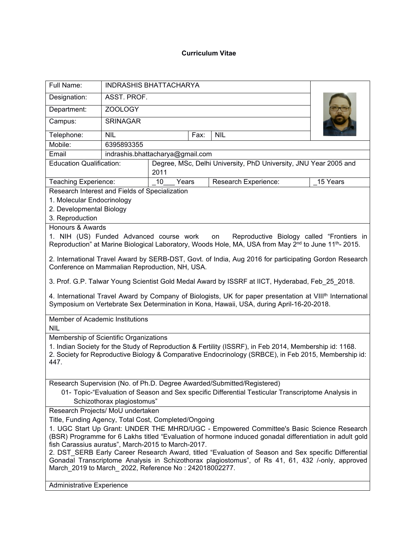## **Curriculum Vitae**

| Full Name:                                                                                                                                                                                 | <b>INDRASHIS BHATTACHARYA</b>    |                                                                                                             |                                                                                                                                                                                                                                                                                                                                                                                                                |          |
|--------------------------------------------------------------------------------------------------------------------------------------------------------------------------------------------|----------------------------------|-------------------------------------------------------------------------------------------------------------|----------------------------------------------------------------------------------------------------------------------------------------------------------------------------------------------------------------------------------------------------------------------------------------------------------------------------------------------------------------------------------------------------------------|----------|
| Designation:                                                                                                                                                                               | ASST. PROF.                      |                                                                                                             |                                                                                                                                                                                                                                                                                                                                                                                                                |          |
| Department:                                                                                                                                                                                | ZOOLOGY                          |                                                                                                             |                                                                                                                                                                                                                                                                                                                                                                                                                |          |
| Campus:                                                                                                                                                                                    | <b>SRINAGAR</b>                  |                                                                                                             |                                                                                                                                                                                                                                                                                                                                                                                                                |          |
| Telephone:                                                                                                                                                                                 | <b>NIL</b><br><b>NIL</b><br>Fax: |                                                                                                             |                                                                                                                                                                                                                                                                                                                                                                                                                |          |
| Mobile:                                                                                                                                                                                    | 6395893355                       |                                                                                                             |                                                                                                                                                                                                                                                                                                                                                                                                                |          |
| Email                                                                                                                                                                                      | indrashis.bhattacharya@gmail.com |                                                                                                             |                                                                                                                                                                                                                                                                                                                                                                                                                |          |
| <b>Education Qualification:</b>                                                                                                                                                            |                                  | Degree, MSc, Delhi University, PhD University, JNU Year 2005 and<br>2011                                    |                                                                                                                                                                                                                                                                                                                                                                                                                |          |
| Teaching Experience:                                                                                                                                                                       |                                  | 10 <sup>°</sup><br>Years                                                                                    | Research Experience:                                                                                                                                                                                                                                                                                                                                                                                           | 15 Years |
| Research Interest and Fields of Specialization<br>1. Molecular Endocrinology<br>2. Developmental Biology<br>3. Reproduction<br>Honours & Awards<br>1. NIH (US) Funded Advanced course work |                                  |                                                                                                             | Reproductive Biology called "Frontiers in<br>on<br>Reproduction" at Marine Biological Laboratory, Woods Hole, MA, USA from May 2 <sup>nd</sup> to June 11 <sup>th</sup> -2015.<br>2. International Travel Award by SERB-DST, Govt. of India, Aug 2016 for participating Gordon Research                                                                                                                        |          |
|                                                                                                                                                                                            |                                  | Conference on Mammalian Reproduction, NH, USA.                                                              |                                                                                                                                                                                                                                                                                                                                                                                                                |          |
|                                                                                                                                                                                            |                                  |                                                                                                             | 3. Prof. G.P. Talwar Young Scientist Gold Medal Award by ISSRF at IICT, Hyderabad, Feb_25_2018.                                                                                                                                                                                                                                                                                                                |          |
|                                                                                                                                                                                            |                                  |                                                                                                             | 4. International Travel Award by Company of Biologists, UK for paper presentation at VIII <sup>th</sup> International<br>Symposium on Vertebrate Sex Determination in Kona, Hawaii, USA, during April-16-20-2018.                                                                                                                                                                                              |          |
| Member of Academic Institutions<br><b>NIL</b>                                                                                                                                              |                                  |                                                                                                             |                                                                                                                                                                                                                                                                                                                                                                                                                |          |
| Membership of Scientific Organizations                                                                                                                                                     |                                  |                                                                                                             |                                                                                                                                                                                                                                                                                                                                                                                                                |          |
| 447.                                                                                                                                                                                       |                                  |                                                                                                             | 1. Indian Society for the Study of Reproduction & Fertility (ISSRF), in Feb 2014, Membership id: 1168.<br>2. Society for Reproductive Biology & Comparative Endocrinology (SRBCE), in Feb 2015, Membership id:                                                                                                                                                                                                 |          |
|                                                                                                                                                                                            | Schizothorax plagiostomus"       |                                                                                                             | Research Supervision (No. of Ph.D. Degree Awarded/Submitted/Registered)<br>01- Topic-"Evaluation of Season and Sex specific Differential Testicular Transcriptome Analysis in                                                                                                                                                                                                                                  |          |
| Research Projects/ MoU undertaken                                                                                                                                                          |                                  |                                                                                                             |                                                                                                                                                                                                                                                                                                                                                                                                                |          |
|                                                                                                                                                                                            |                                  | Title, Funding Agency, Total Cost, Completed/Ongoing                                                        |                                                                                                                                                                                                                                                                                                                                                                                                                |          |
|                                                                                                                                                                                            |                                  | fish Carassius auratus", March-2015 to March-2017.<br>March 2019 to March_2022, Reference No: 242018002277. | 1. UGC Start Up Grant: UNDER THE MHRD/UGC - Empowered Committee's Basic Science Research<br>(BSR) Programme for 6 Lakhs titled "Evaluation of hormone induced gonadal differentiation in adult gold<br>2. DST_SERB Early Career Research Award, titled "Evaluation of Season and Sex specific Differential<br>Gonadal Transcriptome Analysis in Schizothorax plagiostomus", of Rs 41, 61, 432 /-only, approved |          |
| <b>Administrative Experience</b>                                                                                                                                                           |                                  |                                                                                                             |                                                                                                                                                                                                                                                                                                                                                                                                                |          |
|                                                                                                                                                                                            |                                  |                                                                                                             |                                                                                                                                                                                                                                                                                                                                                                                                                |          |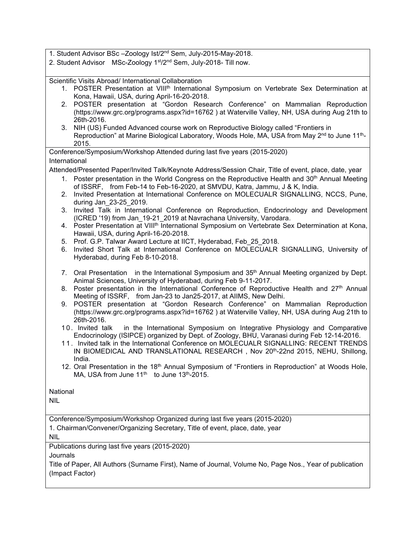1. Student Advisor BSc –Zoology Ist/2<sup>nd</sup> Sem, July-2015-May-2018.

2. Student Advisor MSc-Zoology 1st/2<sup>nd</sup> Sem, July-2018- Till now.

Scientific Visits Abroad/ International Collaboration

- 1. POSTER Presentation at VIII<sup>th</sup> International Symposium on Vertebrate Sex Determination at | Kona, Hawaii, USA, during April-16-20-2018.
- 2. POSTER presentation at "Gordon Research Conference" on Mammalian Reproduction (https://www.grc.org/programs.aspx?id=16762) at Waterville Valley, NH, USA during Aug 21th to 26th-2016.
- 3. NIH (US) Funded Advanced course work on Reproductive Biology called "Frontiers in Reproduction" at Marine Biological Laboratory, Woods Hole, MA, USA from May 2<sup>nd</sup> to June 11<sup>th</sup>-  $\mid$ - **1** 2015.

Conference/Symposium/Workshop Attended during last five years (2015-2020)

International

Attended/Presented Paper/Invited Talk/Keynote Address/Session Chair, Title of event, place, date, year

- 1. Poster presentation in the World Congress on the Reproductive Health and 30<sup>th</sup> Annual Meeting | of ISSRF, from Feb-14 to Feb-16-2020, at SMVDU, Katra, Jammu, J & K, India.
- 2. Invited Presentation at International Conference on MOLECUALR SIGNALLING, NCCS, Pune, during Jan\_23-25\_2019.
- 3. Invited Talk in International Conference on Reproduction, Endocrinology and Development (ICRED '19) from Jan\_19-21\_2019 at Navrachana University, Varodara.
- 4. Poster Presentation at VIII<sup>th</sup> International Symposium on Vertebrate Sex Determination at Kona, | Hawaii, USA, during April-16-20-2018.
- 5. Prof. G.P. Talwar Award Lecture at IICT, Hyderabad, Feb\_25\_2018.
- 6. Invited Short Talk at International Conference on MOLECUALR SIGNALLING, University of Hyderabad, during Feb 8-10-2018.
- 7. Oral Presentation in the International Symposium and 35<sup>th</sup> Annual Meeting organized by Dept. Animal Sciences, University of Hyderabad, during Feb 9-11-2017.
- 8. Poster presentation in the International Conference of Reproductive Health and 27<sup>th</sup> Annual Meeting of ISSRF, from Jan-23 to Jan25-2017, at AIIMS, New Delhi.
- 9. POSTER presentation at "Gordon Research Conference" on Mammalian Reproduction (https://www.grc.org/programs.aspx?id=16762 ) at Waterville Valley, NH,USA during Aug 21th to 26th-2016.
- 1 0 . Invited talk in the International Symposium on Integrative Physiology and Comparative Endocrinology (ISIPCE) organized by Dept. of Zoology, BHU, Varanasi during Feb 12-14-2016.
- 1 1 . Invited talk in the International Conference on MOLECUALR SIGNALLING: RECENT TRENDS IN BIOMEDICAL AND TRANSLATIONAL RESEARCH,Nov 20<sup>th</sup>-22nd 2015, NEHU, Shillong, Research India.
- 12. Oral Presentation in the 18<sup>th</sup> Annual Symposium of "Frontiers in Reproduction" at Woods Hole, | MA, USA from June 11<sup>th</sup> to June 13<sup>th</sup>-2015.

National

NIL

Conference/Symposium/Workshop Organized during last five years (2015-2020)

1. Chairman/Convener/Organizing Secretary, Title of event, place, date, year

NIL

Publications during last five years (2015-2020)

Journals

Title of Paper, All Authors (Surname First), Name of Journal, Volume No, Page Nos., Year of publication (Impact Factor)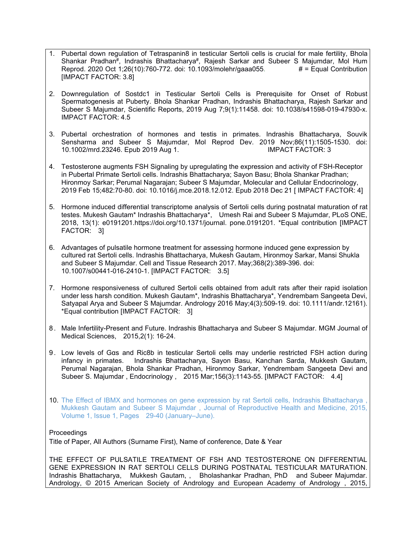- 1. Pubertal down regulation of Tetraspanin8 in testicular Sertoli cells is crucial for male fertility, Bhola Shankar Pradhan<sup>#</sup>, Indrashis Bhattacharya<sup>#</sup>, Rajesh Sarkar and Subeer S Majumdar, Mol Hum*\* Reprod. 2020 Oct 1;26(10):760-772. doi: 10.1093/molehr/gaaa055. # = Equal Contribution [IMPACT FACTOR: 3.8]
- 2. Downregulation of Sostdc1 in Testicular Sertoli Cells is Prerequisite for Onset of Robust Spermatogenesis at Puberty. Bhola Shankar Pradhan, Indrashis Bhattacharya, Rajesh Sarkar and Subeer S Majumdar, Scientific Reports, 2019 Aug 7;9(1):11458. doi: 10.1038/s41598-019-47930-x. IMPACT FACTOR: 4.5
- 3. Pubertal orchestration of hormones and testis in primates. Indrashis Bhattacharya, Souvik Sensharma and Subeer S Majumdar, Mol Reprod Dev. 2019 Nov;86(11):1505-1530. doi: 10.1002/mrd.23246. Epub 2019 Aug 1. IMPACT FACTOR: 3
- 4. Testosterone augments FSH Signaling by upregulating the expression and activity of FSH-Receptor in Pubertal Primate Sertoli cells. Indrashis Bhattacharya; Sayon Basu; Bhola Shankar Pradhan; Hironmoy Sarkar; Perumal Nagarajan; Subeer S Majumdar, Molecular and Cellular Endocrinology, 2019 Feb 15;482:70-80. doi: 10.1016/j.mce.2018.12.012. Epub 2018 Dec 21 [ IMPACT FACTOR: 4]
- 5. Hormone induced differential transcriptome analysis of Sertoli cells during postnatal maturation of rat testes. Mukesh Gautam\* Indrashis Bhattacharya\*, Umesh Rai and Subeer S Majumdar, PLoS ONE, 2018, 13(1): e0191201.https://doi.org/10.1371/journal. pone.0191201. \*Equal contribution [IMPACT FACTOR: 3]
- 6. Advantages of pulsatile hormone treatment for assessing hormone induced gene expression by cultured rat Sertoli cells. Indrashis Bhattacharya, Mukesh Gautam, Hironmoy Sarkar, Mansi Shukla and Subeer S Majumdar. Cell and Tissue Research 2017. May;368(2):389-396. doi: 10.1007/s00441-016-2410-1. [IMPACT FACTOR: 3.5]
- 7. Hormone responsiveness of cultured Sertoli cells obtained from adult rats after their rapid isolation under less harsh condition. Mukesh Gautam\*, Indrashis Bhattacharya\*, Yendrembam Sangeeta Devi, Satyapal Arya and Subeer S Majumdar. Andrology 2016 May;4(3):509-19. doi: 10.1111/andr.12161). \*Equal contribution [IMPACT FACTOR: 3]
- 8 . Male Infertility-Present and Future. Indrashis Bhattacharya and Subeer S Majumdar. MGM Journal of Medical Sciences, 2015,2(1): 16-24.
- 9. Low levels of Gas and Ric8b in testicular Sertoli cells may underlie restricted FSH action during infancy in primates. Indrashis Bhattacharya, Sayon Basu, Kanchan Sarda, Mukkesh Gautam, Perumal Nagarajan, Bhola Shankar Pradhan, Hironmoy Sarkar, Yendrembam Sangeeta Devi and Subeer S. Majumdar , Endocrinology , 2015 Mar;156(3):1143-55. [IMPACT FACTOR: 4.4]
- 10. The Effect of IBMX and hormones on gene expression by rat Sertoli cells, Indrashis Bhattacharya , Mukkesh Gautam and Subeer S Majumdar , Journal of Reproductive Health and Medicine, 2015, Volume 1, Issue 1, Pages 29-40 (January–June).

## Proceedings

Title of Paper, All Authors (Surname First), Name of conference, Date & Year

THE EFFECT OF PULSATILE TREATMENT OF FSH AND TESTOSTERONE ON DIFFERENTIAL GENE EXPRESSION IN RAT SERTOLI CELLS DURING POSTNATAL TESTICULAR MATURATION. Indrashis Bhattacharya, Mukkesh Gautam, , Bholashankar Pradhan, PhD and Subeer Majumdar. Andrology, © 2015 American Society of Andrology and European Academy of Andrology, 2015,